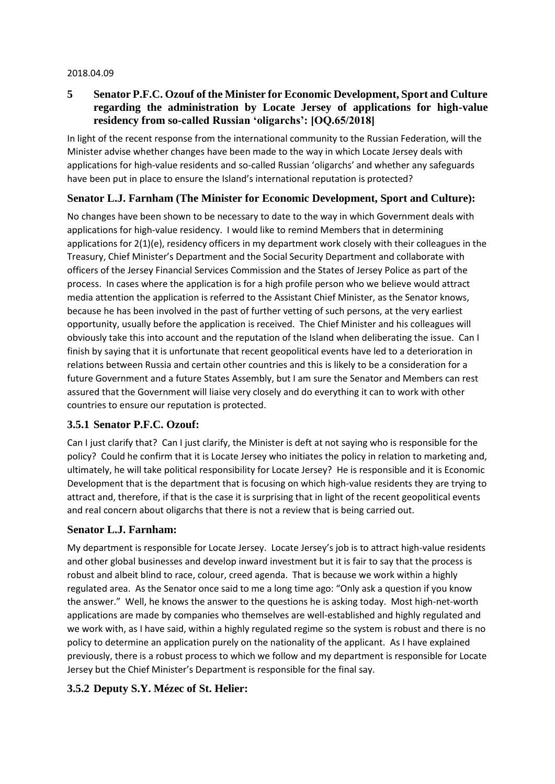#### 2018.04.09

### **5 Senator P.F.C. Ozouf of the Minister for Economic Development, Sport and Culture regarding the administration by Locate Jersey of applications for high-value residency from so-called Russian 'oligarchs': [OQ.65/2018]**

In light of the recent response from the international community to the Russian Federation, will the Minister advise whether changes have been made to the way in which Locate Jersey deals with applications for high-value residents and so-called Russian 'oligarchs' and whether any safeguards have been put in place to ensure the Island's international reputation is protected?

### **Senator L.J. Farnham (The Minister for Economic Development, Sport and Culture):**

No changes have been shown to be necessary to date to the way in which Government deals with applications for high-value residency. I would like to remind Members that in determining applications for 2(1)(e), residency officers in my department work closely with their colleagues in the Treasury, Chief Minister's Department and the Social Security Department and collaborate with officers of the Jersey Financial Services Commission and the States of Jersey Police as part of the process. In cases where the application is for a high profile person who we believe would attract media attention the application is referred to the Assistant Chief Minister, as the Senator knows, because he has been involved in the past of further vetting of such persons, at the very earliest opportunity, usually before the application is received. The Chief Minister and his colleagues will obviously take this into account and the reputation of the Island when deliberating the issue. Can I finish by saying that it is unfortunate that recent geopolitical events have led to a deterioration in relations between Russia and certain other countries and this is likely to be a consideration for a future Government and a future States Assembly, but I am sure the Senator and Members can rest assured that the Government will liaise very closely and do everything it can to work with other countries to ensure our reputation is protected.

### **3.5.1 Senator P.F.C. Ozouf:**

Can I just clarify that? Can I just clarify, the Minister is deft at not saying who is responsible for the policy? Could he confirm that it is Locate Jersey who initiates the policy in relation to marketing and, ultimately, he will take political responsibility for Locate Jersey? He is responsible and it is Economic Development that is the department that is focusing on which high-value residents they are trying to attract and, therefore, if that is the case it is surprising that in light of the recent geopolitical events and real concern about oligarchs that there is not a review that is being carried out.

### **Senator L.J. Farnham:**

My department is responsible for Locate Jersey. Locate Jersey's job is to attract high-value residents and other global businesses and develop inward investment but it is fair to say that the process is robust and albeit blind to race, colour, creed agenda. That is because we work within a highly regulated area. As the Senator once said to me a long time ago: "Only ask a question if you know the answer." Well, he knows the answer to the questions he is asking today. Most high-net-worth applications are made by companies who themselves are well-established and highly regulated and we work with, as I have said, within a highly regulated regime so the system is robust and there is no policy to determine an application purely on the nationality of the applicant. As I have explained previously, there is a robust process to which we follow and my department is responsible for Locate Jersey but the Chief Minister's Department is responsible for the final say.

### **3.5.2 Deputy S.Y. Mézec of St. Helier:**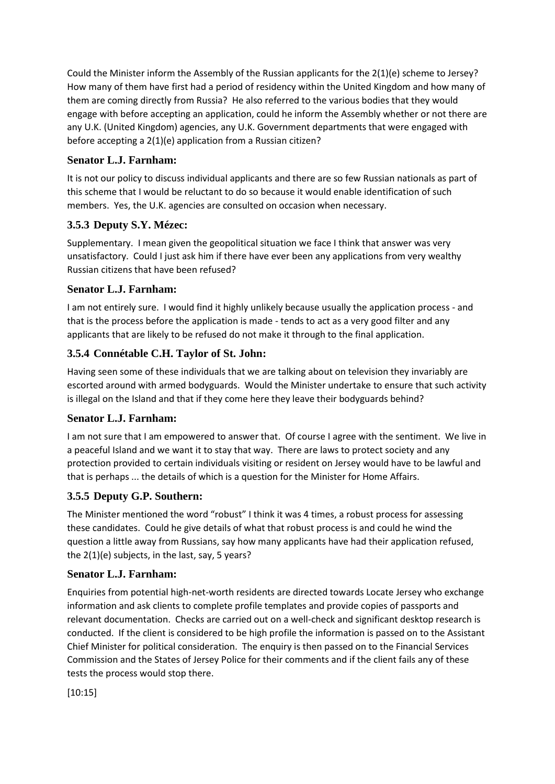Could the Minister inform the Assembly of the Russian applicants for the 2(1)(e) scheme to Jersey? How many of them have first had a period of residency within the United Kingdom and how many of them are coming directly from Russia? He also referred to the various bodies that they would engage with before accepting an application, could he inform the Assembly whether or not there are any U.K. (United Kingdom) agencies, any U.K. Government departments that were engaged with before accepting a 2(1)(e) application from a Russian citizen?

# **Senator L.J. Farnham:**

It is not our policy to discuss individual applicants and there are so few Russian nationals as part of this scheme that I would be reluctant to do so because it would enable identification of such members. Yes, the U.K. agencies are consulted on occasion when necessary.

# **3.5.3 Deputy S.Y. Mézec:**

Supplementary. I mean given the geopolitical situation we face I think that answer was very unsatisfactory. Could I just ask him if there have ever been any applications from very wealthy Russian citizens that have been refused?

# **Senator L.J. Farnham:**

I am not entirely sure. I would find it highly unlikely because usually the application process - and that is the process before the application is made - tends to act as a very good filter and any applicants that are likely to be refused do not make it through to the final application.

# **3.5.4 Connétable C.H. Taylor of St. John:**

Having seen some of these individuals that we are talking about on television they invariably are escorted around with armed bodyguards. Would the Minister undertake to ensure that such activity is illegal on the Island and that if they come here they leave their bodyguards behind?

# **Senator L.J. Farnham:**

I am not sure that I am empowered to answer that. Of course I agree with the sentiment. We live in a peaceful Island and we want it to stay that way. There are laws to protect society and any protection provided to certain individuals visiting or resident on Jersey would have to be lawful and that is perhaps ... the details of which is a question for the Minister for Home Affairs.

# **3.5.5 Deputy G.P. Southern:**

The Minister mentioned the word "robust" I think it was 4 times, a robust process for assessing these candidates. Could he give details of what that robust process is and could he wind the question a little away from Russians, say how many applicants have had their application refused, the 2(1)(e) subjects, in the last, say, 5 years?

# **Senator L.J. Farnham:**

Enquiries from potential high-net-worth residents are directed towards Locate Jersey who exchange information and ask clients to complete profile templates and provide copies of passports and relevant documentation. Checks are carried out on a well-check and significant desktop research is conducted. If the client is considered to be high profile the information is passed on to the Assistant Chief Minister for political consideration. The enquiry is then passed on to the Financial Services Commission and the States of Jersey Police for their comments and if the client fails any of these tests the process would stop there.

[10:15]